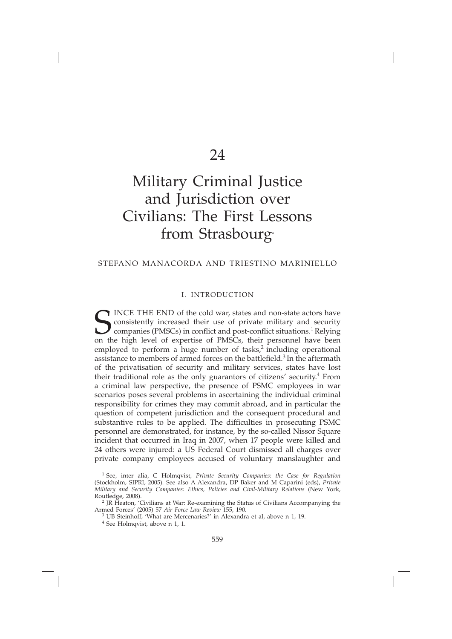# Military Criminal Justice and Jurisdiction over Civilians: The First Lessons from Strasbourg<sup>\*</sup>

#### STEFANO MANACORDA AND TRIESTINO MARINIELLO

# I. INTRODUCTION

SINCE THE END of the cold war, states and non-state actors have<br>consistently increased their use of private military and security<br>companies (PMSCs) in conflict and post-conflict situations.<sup>1</sup> Relying<br>on the high level of INCE THE END of the cold war, states and non-state actors have consistently increased their use of private military and security companies (PMSCs) in conflict and post-conflict situations.<sup>1</sup> Relying on the high level of expertise of PMSCs, their personnel have been employed to perform a huge number of tasks, $2$  including operational assistance to members of armed forces on the battlefield.<sup>3</sup> In the aftermath of the privatisation of security and military services, states have lost their traditional role as the only guarantors of citizens' security.4 From a criminal law perspective, the presence of PSMC employees in war scenarios poses several problems in ascertaining the individual criminal responsibility for crimes they may commit abroad, and in particular the question of competent jurisdiction and the consequent procedural and substantive rules to be applied. The difficulties in prosecuting PSMC personnel are demonstrated, for instance, by the so-called Nissor Square incident that occurred in Iraq in 2007, when 17 people were killed and 24 others were injured: a US Federal Court dismissed all charges over private company employees accused of voluntary manslaughter and

<sup>1</sup> See, inter alia, C Holmqvist, *Private Security Companies: the Case for Regulation* (Stockholm, SIPRI, 2005). See also A Alexandra, DP Baker and M Caparini (eds), *Private Military and Security Companies: Ethics, Policies and Civil-Military Relations* (New York,

<sup>&</sup>lt;sup>2</sup> JR Heaton, 'Civilians at War: Re-examining the Status of Civilians Accompanying the Armed Forces' (2005) 57 *Air Force Law Review* 155, 190.

 $^3$  UB Steinhoff, 'What are Mercenaries?' in Alexandra et al, above n 1, 19.  $^4$  See Holmqvist, above n 1, 1.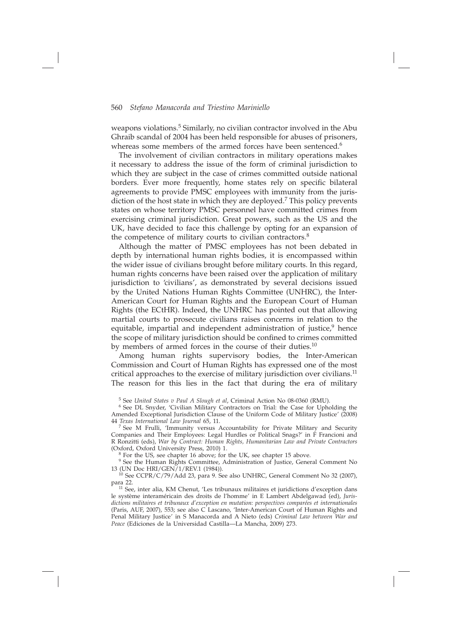weapons violations.<sup>5</sup> Similarly, no civilian contractor involved in the Abu Ghraib scandal of 2004 has been held responsible for abuses of prisoners, whereas some members of the armed forces have been sentenced.<sup>6</sup>

The involvement of civilian contractors in military operations makes it necessary to address the issue of the form of criminal jurisdiction to which they are subject in the case of crimes committed outside national borders. Ever more frequently, home states rely on specific bilateral agreements to provide PMSC employees with immunity from the jurisdiction of the host state in which they are deployed.7 This policy prevents states on whose territory PMSC personnel have committed crimes from exercising criminal jurisdiction. Great powers, such as the US and the UK, have decided to face this challenge by opting for an expansion of the competence of military courts to civilian contractors.<sup>8</sup>

Although the matter of PMSC employees has not been debated in depth by international human rights bodies, it is encompassed within the wider issue of civilians brought before military courts. In this regard, human rights concerns have been raised over the application of military jurisdiction to 'civilians', as demonstrated by several decisions issued by the United Nations Human Rights Committee (UNHRC), the Inter-American Court for Human Rights and the European Court of Human Rights (the ECtHR). Indeed, the UNHRC has pointed out that allowing martial courts to prosecute civilians raises concerns in relation to the equitable, impartial and independent administration of justice, $9$  hence the scope of military jurisdiction should be confined to crimes committed by members of armed forces in the course of their duties.<sup>10</sup>

Among human rights supervisory bodies, the Inter-American Commission and Court of Human Rights has expressed one of the most critical approaches to the exercise of military jurisdiction over civilians.<sup>11</sup> The reason for this lies in the fact that during the era of military

5 See *United States v Paul A Slough et al*, Criminal Action No 08-0360 (RMU).

6 See DL Snyder, 'Civilian Military Contractors on Trial: the Case for Upholding the Amended Exceptional Jurisdiction Clause of the Uniform Code of Military Justice' (2008)<br>44 Texas International Law Journal 65, 11.

<sup>7</sup> See M Frulli, 'Immunity versus Accountability for Private Military and Security Companies and Their Employees: Legal Hurdles or Political Snags?' in F Francioni and R Ronzitti (eds), *War by Contract: Human Rights, Humanitarian Law and Private Contractors* 

 $8$  For the US, see chapter 16 above; for the UK, see chapter 15 above.

<sup>9</sup> See the Human Rights Committee, Administration of Justice, General Comment No 13 (UN Doc HRI/GEN/1/REV.1 (1984)).

 $10$  See CCPR/C/79/Add 23, para 9. See also UNHRC, General Comment No 32 (2007), para 22.

11 See, inter alia, KM Chenut, 'Les tribunaux militaires et juridictions d'exception dans le système interaméricain des droits de l'homme' in E Lambert Abdelgawad (ed), *Jurisdictions militaires et tribunaux d'exception en mutation: perspectives comparées et internationales* (Paris, AUF, 2007), 553; see also C Lascano, 'Inter-American Court of Human Rights and Penal Military Justice' in S Manacorda and A Nieto (eds) *Criminal Law between War and Peace* (Ediciones de la Universidad Castilla—La Mancha, 2009) 273.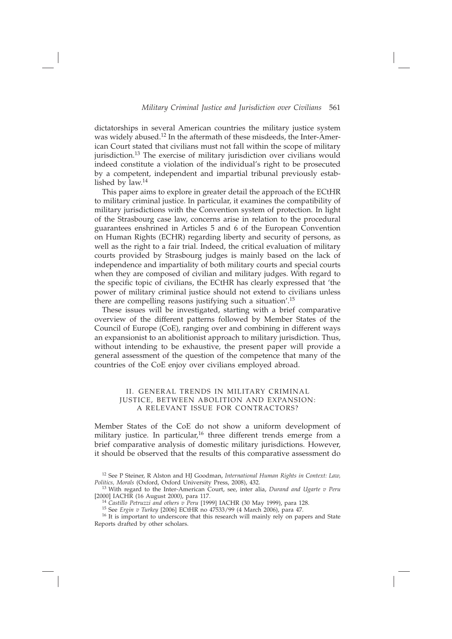dictatorships in several American countries the military justice system was widely abused.12 In the aftermath of these misdeeds, the Inter-American Court stated that civilians must not fall within the scope of military jurisdiction.<sup>13</sup> The exercise of military jurisdiction over civilians would indeed constitute a violation of the individual's right to be prosecuted by a competent, independent and impartial tribunal previously established by law.<sup>14</sup>

This paper aims to explore in greater detail the approach of the ECtHR to military criminal justice. In particular, it examines the compatibility of military jurisdictions with the Convention system of protection. In light of the Strasbourg case law, concerns arise in relation to the procedural guarantees enshrined in Articles 5 and 6 of the European Convention on Human Rights (ECHR) regarding liberty and security of persons, as well as the right to a fair trial. Indeed, the critical evaluation of military courts provided by Strasbourg judges is mainly based on the lack of independence and impartiality of both military courts and special courts when they are composed of civilian and military judges. With regard to the specific topic of civilians, the ECtHR has clearly expressed that 'the power of military criminal justice should not extend to civilians unless there are compelling reasons justifying such a situation'.15

These issues will be investigated, starting with a brief comparative overview of the different patterns followed by Member States of the Council of Europe (CoE), ranging over and combining in different ways an expansionist to an abolitionist approach to military jurisdiction. Thus, without intending to be exhaustive, the present paper will provide a general assessment of the question of the competence that many of the countries of the CoE enjoy over civilians employed abroad.

#### II. GENERAL TRENDS IN MILITARY CRIMINAL JUSTICE, BETWEEN ABOLITION AND EXPANSION: A RELEVANT ISSUE FOR CONTRACTORS?

Member States of the CoE do not show a uniform development of military justice. In particular,<sup>16</sup> three different trends emerge from a brief comparative analysis of domestic military jurisdictions. However, it should be observed that the results of this comparative assessment do

<sup>12</sup> See P Steiner, R Alston and HJ Goodman, *International Human Rights in Context: Law, Politics, Morals* (Oxford, Oxford University Press, 2008), 432.

<sup>&</sup>lt;sup>13</sup> With regard to the Inter-American Court, see, inter alia, *Durand and Ugarte v Peru* [2000] IACHR (16 August 2000), para 117.

<sup>&</sup>lt;sup>14</sup> Castillo Petruzzi and others  $v$  Peru [1999] IACHR (30 May 1999), para 128.<br><sup>15</sup> See *Ergin v Turkey* [2006] ECtHR no 47533/99 (4 March 2006), para 47.<br><sup>16</sup> It is important to underscore that this research will mainl Reports drafted by other scholars.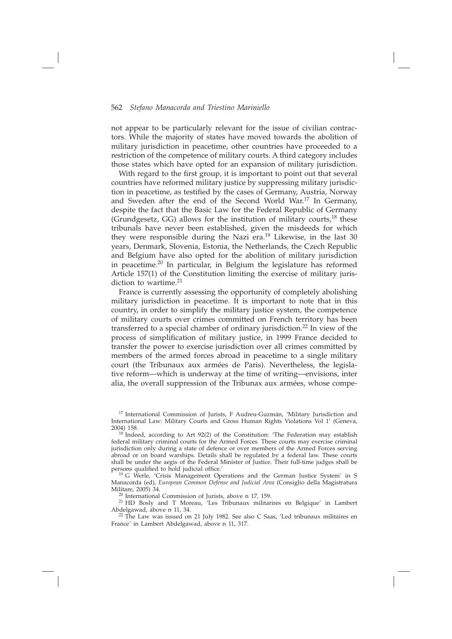not appear to be particularly relevant for the issue of civilian contractors. While the majority of states have moved towards the abolition of military jurisdiction in peacetime, other countries have proceeded to a restriction of the competence of military courts. A third category includes those states which have opted for an expansion of military jurisdiction.

With regard to the first group, it is important to point out that several countries have reformed military justice by suppressing military jurisdiction in peacetime, as testified by the cases of Germany, Austria, Norway and Sweden after the end of the Second World War.17 In Germany, despite the fact that the Basic Law for the Federal Republic of Germany (Grundgesetz, GG) allows for the institution of military courts, $^{18}$  these tribunals have never been established, given the misdeeds for which they were responsible during the Nazi era.<sup>19</sup> Likewise, in the last 30 years, Denmark, Slovenia, Estonia, the Netherlands, the Czech Republic and Belgium have also opted for the abolition of military jurisdiction in peacetime.20 In particular, in Belgium the legislature has reformed Article 157(1) of the Constitution limiting the exercise of military jurisdiction to wartime. $21$ 

France is currently assessing the opportunity of completely abolishing military jurisdiction in peacetime. It is important to note that in this country, in order to simplify the military justice system, the competence of military courts over crimes committed on French territory has been transferred to a special chamber of ordinary jurisdiction.22 In view of the process of simplification of military justice, in 1999 France decided to transfer the power to exercise jurisdiction over all crimes committed by members of the armed forces abroad in peacetime to a single military court (the Tribunaux aux armées de Paris). Nevertheless, the legislative reform—which is underway at the time of writing—envisions, inter alia, the overall suppression of the Tribunax aux armées, whose compe-

<sup>19</sup> G Werle, 'Crisis Management Operations and the German Justice System' in S Manacorda (ed), *European Common Defense and Judicial Area* (Consiglio della Magistratura

 $20$  International Commission of Jurists, above n 17, 159.

21 HD Bosly and T Moreau, 'Les Tribunaux militarires en Belgique' in Lambert Abdelgawad, above n 11, 34.

22 The Law was issued on 21 July 1982. See also C Saas, 'Led tribunaux militaires en France' in Lambert Abdelgawad, above n 11, 317.

<sup>&</sup>lt;sup>17</sup> International Commission of Jurists, F Audreu-Guzmán, 'Military Jurisdiction and International Law: Military Courts and Gross Human Rights Violations Vol 1' (Geneva, 2004) 158.

 $18$ <sup>18</sup> Indeed, according to Art 92(2) of the Constitution: 'The Federation may establish federal military criminal courts for the Armed Forces. These courts may exercise criminal jurisdiction only during a state of defence or over members of the Armed Forces serving abroad or on board warships. Details shall be regulated by a federal law. These courts shall be under the aegis of the Federal Minister of Justice. Their full-time judges shall be persons qualified to hold judicial office.'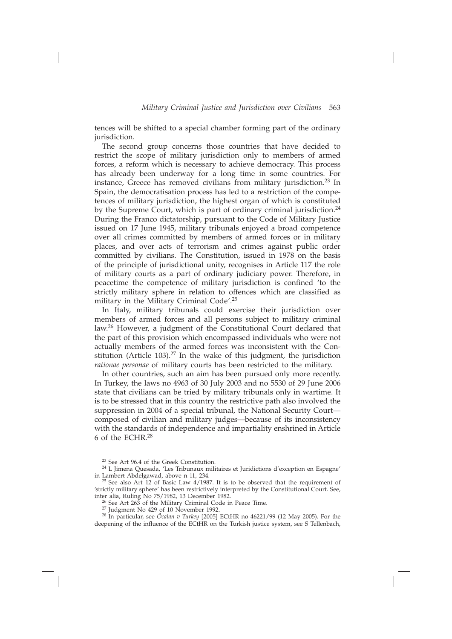tences will be shifted to a special chamber forming part of the ordinary jurisdiction.

The second group concerns those countries that have decided to restrict the scope of military jurisdiction only to members of armed forces, a reform which is necessary to achieve democracy. This process has already been underway for a long time in some countries. For instance, Greece has removed civilians from military jurisdiction.23 In Spain, the democratisation process has led to a restriction of the competences of military jurisdiction, the highest organ of which is constituted by the Supreme Court, which is part of ordinary criminal jurisdiction.<sup>24</sup> During the Franco dictatorship, pursuant to the Code of Military Justice issued on 17 June 1945, military tribunals enjoyed a broad competence over all crimes committed by members of armed forces or in military places, and over acts of terrorism and crimes against public order committed by civilians. The Constitution, issued in 1978 on the basis of the principle of jurisdictional unity, recognises in Article 117 the role of military courts as a part of ordinary judiciary power. Therefore, in peacetime the competence of military jurisdiction is confined 'to the strictly military sphere in relation to offences which are classified as military in the Military Criminal Code'.<sup>25</sup>

In Italy, military tribunals could exercise their jurisdiction over members of armed forces and all persons subject to military criminal law.26 However, a judgment of the Constitutional Court declared that the part of this provision which encompassed individuals who were not actually members of the armed forces was inconsistent with the Constitution (Article 103).<sup>27</sup> In the wake of this judgment, the jurisdiction *rationae personae* of military courts has been restricted to the military.

In other countries, such an aim has been pursued only more recently. In Turkey, the laws no 4963 of 30 July 2003 and no 5530 of 29 June 2006 state that civilians can be tried by military tribunals only in wartime. It is to be stressed that in this country the restrictive path also involved the suppression in 2004 of a special tribunal, the National Security Court composed of civilian and military judges—because of its inconsistency with the standards of independence and impartiality enshrined in Article 6 of the ECHR.28

<sup>26</sup> See Art 263 of the Military Criminal Code in Peace Time.<br><sup>27</sup> Judgment No 429 of 10 November 1992.<br><sup>28</sup> In particular, see *Öcalan v Turkey* [2005] ECtHR no 46221/99 (12 May 2005). For the deepening of the influence of the ECtHR on the Turkish justice system, see S Tellenbach,

<sup>23</sup> See Art 96.4 of the Greek Constitution.

 $24$  L Jimena Quesada, 'Les Tribunaux militaires et Juridictions d'exception en Espagne' in Lambert Abdelgawad, above n 11, 234.

<sup>&</sup>lt;sup>25</sup> See also Art  $12$  of Basic Law  $4/1987$ . It is to be observed that the requirement of 'strictly military sphere' has been restrictively interpreted by the Constitutional Court. See,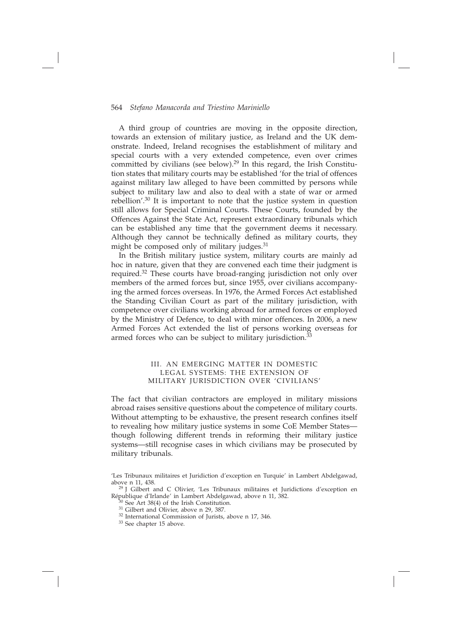A third group of countries are moving in the opposite direction, towards an extension of military justice, as Ireland and the UK demonstrate. Indeed, Ireland recognises the establishment of military and special courts with a very extended competence, even over crimes committed by civilians (see below).<sup>29</sup> In this regard, the Irish Constitution states that military courts may be established 'for the trial of offences against military law alleged to have been committed by persons while subject to military law and also to deal with a state of war or armed rebellion'.30 It is important to note that the justice system in question still allows for Special Criminal Courts. These Courts, founded by the Offences Against the State Act, represent extraordinary tribunals which can be established any time that the government deems it necessary. Although they cannot be technically defined as military courts, they might be composed only of military judges.<sup>31</sup>

In the British military justice system, military courts are mainly ad hoc in nature, given that they are convened each time their judgment is required.32 These courts have broad-ranging jurisdiction not only over members of the armed forces but, since 1955, over civilians accompanying the armed forces overseas. In 1976, the Armed Forces Act established the Standing Civilian Court as part of the military jurisdiction, with competence over civilians working abroad for armed forces or employed by the Ministry of Defence, to deal with minor offences. In 2006, a new Armed Forces Act extended the list of persons working overseas for armed forces who can be subject to military jurisdiction.<sup>33</sup>

# III. AN EMERGING MATTER IN DOMESTIC LEGAL SYSTEMS: THE EXTENSION OF MILITARY JURISDICTION OVER 'CIVILIANS'

The fact that civilian contractors are employed in military missions abroad raises sensitive questions about the competence of military courts. Without attempting to be exhaustive, the present research confines itself to revealing how military justice systems in some CoE Member States though following different trends in reforming their military justice systems—still recognise cases in which civilians may be prosecuted by military tribunals.

33 See chapter 15 above.

<sup>&#</sup>x27;Les Tribunaux militaires et Juridiction d'exception en Turquie' in Lambert Abdelgawad,

 $29$  J Gilbert and C Olivier, 'Les Tribunaux militaires et Juridictions d'exception en République d'Irlande' in Lambert Abdelgawad, above n 11, 382.<br><sup>30</sup> See Art 38(4) of the Irish Constitution.

 $31$  Gilbert and Olivier, above n 29, 387.

<sup>32</sup> International Commission of Jurists, above n 17, 346.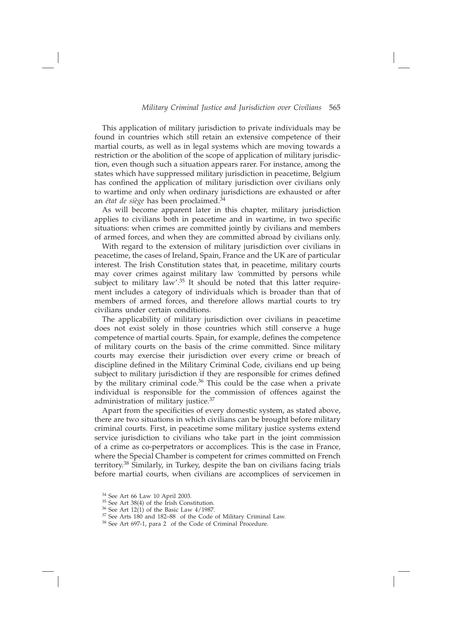This application of military jurisdiction to private individuals may be found in countries which still retain an extensive competence of their martial courts, as well as in legal systems which are moving towards a restriction or the abolition of the scope of application of military jurisdiction, even though such a situation appears rarer. For instance, among the states which have suppressed military jurisdiction in peacetime, Belgium has confined the application of military jurisdiction over civilians only to wartime and only when ordinary jurisdictions are exhausted or after an *état de siège* has been proclaimed.34

As will become apparent later in this chapter, military jurisdiction applies to civilians both in peacetime and in wartime, in two specific situations: when crimes are committed jointly by civilians and members of armed forces, and when they are committed abroad by civilians only.

With regard to the extension of military jurisdiction over civilians in peacetime, the cases of Ireland, Spain, France and the UK are of particular interest. The Irish Constitution states that, in peacetime, military courts may cover crimes against military law 'committed by persons while subject to military law'.<sup>35</sup> It should be noted that this latter requirement includes a category of individuals which is broader than that of members of armed forces, and therefore allows martial courts to try civilians under certain conditions.

The applicability of military jurisdiction over civilians in peacetime does not exist solely in those countries which still conserve a huge competence of martial courts. Spain, for example, defines the competence of military courts on the basis of the crime committed. Since military courts may exercise their jurisdiction over every crime or breach of discipline defined in the Military Criminal Code, civilians end up being subject to military jurisdiction if they are responsible for crimes defined by the military criminal code. $36$  This could be the case when a private individual is responsible for the commission of offences against the administration of military justice.<sup>37</sup>

Apart from the specificities of every domestic system, as stated above, there are two situations in which civilians can be brought before military criminal courts. First, in peacetime some military justice systems extend service jurisdiction to civilians who take part in the joint commission of a crime as co-perpetrators or accomplices. This is the case in France, where the Special Chamber is competent for crimes committed on French territory.38 Similarly, in Turkey, despite the ban on civilians facing trials before martial courts, when civilians are accomplices of servicemen in

 $34$  See Art 66 Law 10 April 2003.<br> $35$  See Art 38(4) of the Irish Constitution.

 $36$  See Art 12(1) of the Basic Law 4/1987.

 $37$  See Arts  $180$  and  $182–88$  of the Code of Military Criminal Law.  $38$  See Art 697-1, para 2 of the Code of Criminal Procedure.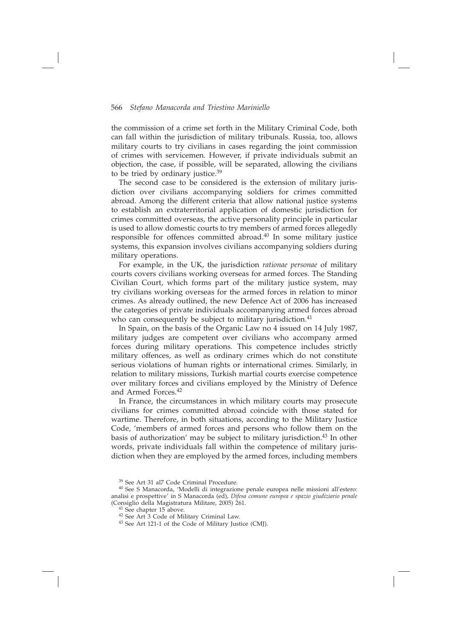the commission of a crime set forth in the Military Criminal Code, both can fall within the jurisdiction of military tribunals. Russia, too, allows military courts to try civilians in cases regarding the joint commission of crimes with servicemen. However, if private individuals submit an objection, the case, if possible, will be separated, allowing the civilians to be tried by ordinary justice.<sup>39</sup>

The second case to be considered is the extension of military jurisdiction over civilians accompanying soldiers for crimes committed abroad. Among the different criteria that allow national justice systems to establish an extraterritorial application of domestic jurisdiction for crimes committed overseas, the active personality principle in particular is used to allow domestic courts to try members of armed forces allegedly responsible for offences committed abroad.40 In some military justice systems, this expansion involves civilians accompanying soldiers during military operations.

For example, in the UK, the jurisdiction *rationae personae* of military courts covers civilians working overseas for armed forces. The Standing Civilian Court, which forms part of the military justice system, may try civilians working overseas for the armed forces in relation to minor crimes. As already outlined, the new Defence Act of 2006 has increased the categories of private individuals accompanying armed forces abroad who can consequently be subject to military jurisdiction.<sup>41</sup>

In Spain, on the basis of the Organic Law no 4 issued on 14 July 1987, military judges are competent over civilians who accompany armed forces during military operations. This competence includes strictly military offences, as well as ordinary crimes which do not constitute serious violations of human rights or international crimes. Similarly, in relation to military missions, Turkish martial courts exercise competence over military forces and civilians employed by the Ministry of Defence and Armed Forces.42

In France, the circumstances in which military courts may prosecute civilians for crimes committed abroad coincide with those stated for wartime. Therefore, in both situations, according to the Military Justice Code, 'members of armed forces and persons who follow them on the basis of authorization' may be subject to military jurisdiction.<sup>43</sup> In other words, private individuals fall within the competence of military jurisdiction when they are employed by the armed forces, including members

 $39$  See Art 31 al7 Code Criminal Procedure.<br> $40$  See S Manacorda, 'Modelli di integrazione penale europea nelle missioni all'estero: analisi e prospettive' in S Manacorda (ed), *Difesa comune europea e spazio giudiziario penale* (Consiglio della Magistratura Militare, 2005) 261.

<sup>&</sup>lt;sup>41</sup> See chapter 15 above.

<sup>42</sup> See Art 3 Code of Military Criminal Law.

<sup>43</sup> See Art 121-1 of the Code of Military Justice (CMJ).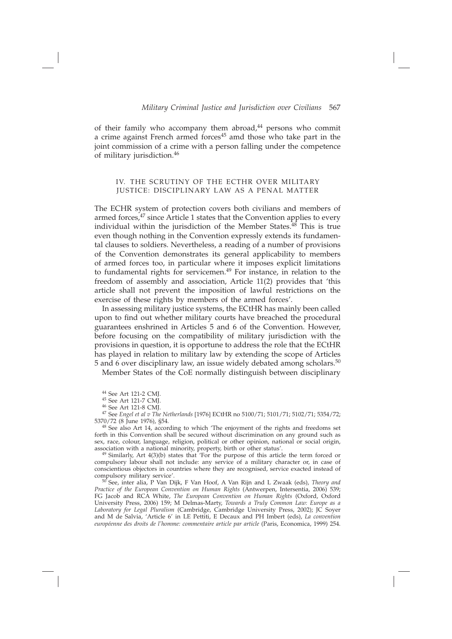of their family who accompany them abroad, $44$  persons who commit a crime against French armed forces<sup>45</sup> amd those who take part in the joint commission of a crime with a person falling under the competence of military jurisdiction.46

# IV. THE SCRUTINY OF THE ECTHR OVER MILITARY JUSTICE: DISCIPLINARY LAW AS A PENAL MATTER

The ECHR system of protection covers both civilians and members of armed forces,<sup>47</sup> since Article 1 states that the Convention applies to every individual within the jurisdiction of the Member States. $48$  This is true even though nothing in the Convention expressly extends its fundamental clauses to soldiers. Nevertheless, a reading of a number of provisions of the Convention demonstrates its general applicability to members of armed forces too, in particular where it imposes explicit limitations to fundamental rights for servicemen.<sup>49</sup> For instance, in relation to the freedom of assembly and association, Article 11(2) provides that 'this article shall not prevent the imposition of lawful restrictions on the exercise of these rights by members of the armed forces'.

In assessing military justice systems, the ECtHR has mainly been called upon to find out whether military courts have breached the procedural guarantees enshrined in Articles 5 and 6 of the Convention. However, before focusing on the compatibility of military jurisdiction with the provisions in question, it is opportune to address the role that the ECtHR has played in relation to military law by extending the scope of Articles 5 and 6 over disciplinary law, an issue widely debated among scholars.50

Member States of the CoE normally distinguish between disciplinary

44 See Art 121-2 CMJ.

45 See Art 121-7 CMJ.

46 See Art 121-8 CMJ.

47 See *Engel et al v The Netherlands* [1976] ECtHR no 5100/71; 5101/71; 5102/71; 5354/72; 5370/72 (8 June 1976), §54.

48 See also Art 14, according to which 'The enjoyment of the rights and freedoms set forth in this Convention shall be secured without discrimination on any ground such as sex, race, colour, language, religion, political or other opinion, national or social origin, association with a national minority, property, birth or other status'.

 $49$  Similarly, Art  $4(3)(b)$  states that 'For the purpose of this article the term forced or compulsory labour shall not include: any service of a military character or, in case of conscientious objectors in countries where they are recognised, service exacted instead of compulsory military service'.

50 See, inter alia, P Van Dijk, F Van Hoof, A Van Rijn and L Zwaak (eds), *Theory and*  Practice of the European Convention on Human Rights (Antwerpen, Intersentia, 2006) 539; FG Jacob and RCA White, *The European Convention on Human Rights* (Oxford, Oxford University Press, 2006) 159; M Delmas-Marty, *Towards a Truly Common Law: Europe as a Laboratory for Legal Pluralism* (Cambridge, Cambridge University Press, 2002); JC Soyer and M de Salvia, 'Article 6' in LE Pettiti, E Decaux and PH Imbert (eds), *La convention européenne des droits de l'homme: commentaire article par article* (Paris, Economica, 1999) 254.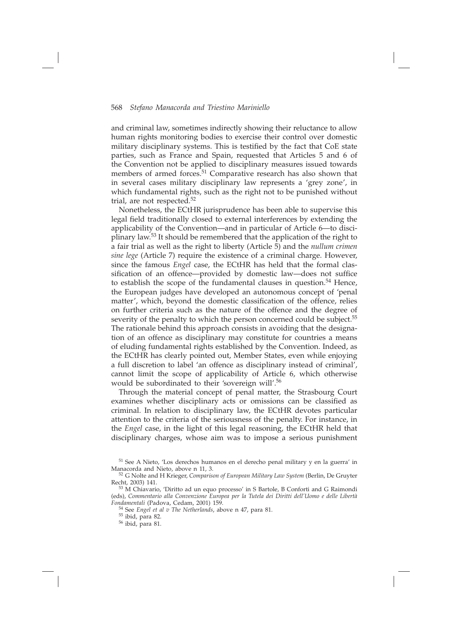and criminal law, sometimes indirectly showing their reluctance to allow human rights monitoring bodies to exercise their control over domestic military disciplinary systems. This is testified by the fact that CoE state parties, such as France and Spain, requested that Articles 5 and 6 of the Convention not be applied to disciplinary measures issued towards members of armed forces.<sup>51</sup> Comparative research has also shown that in several cases military disciplinary law represents a 'grey zone', in which fundamental rights, such as the right not to be punished without trial, are not respected.<sup>52</sup>

Nonetheless, the ECtHR jurisprudence has been able to supervise this legal field traditionally closed to external interferences by extending the applicability of the Convention—and in particular of Article 6—to disciplinary law.53 It should be remembered that the application of the right to a fair trial as well as the right to liberty (Article 5) and the *nullum crimen sine lege* (Article 7) require the existence of a criminal charge. However, since the famous *Engel* case, the ECtHR has held that the formal classification of an offence—provided by domestic law—does not suffice to establish the scope of the fundamental clauses in question.54 Hence, the European judges have developed an autonomous concept of 'penal matter', which, beyond the domestic classification of the offence, relies on further criteria such as the nature of the offence and the degree of severity of the penalty to which the person concerned could be subject.<sup>55</sup> The rationale behind this approach consists in avoiding that the designation of an offence as disciplinary may constitute for countries a means of eluding fundamental rights established by the Convention. Indeed, as the ECtHR has clearly pointed out, Member States, even while enjoying a full discretion to label 'an offence as disciplinary instead of criminal', cannot limit the scope of applicability of Article 6, which otherwise would be subordinated to their 'sovereign will'.<sup>56</sup>

Through the material concept of penal matter, the Strasbourg Court examines whether disciplinary acts or omissions can be classified as criminal. In relation to disciplinary law, the ECtHR devotes particular attention to the criteria of the seriousness of the penalty. For instance, in the *Engel* case, in the light of this legal reasoning, the ECtHR held that disciplinary charges, whose aim was to impose a serious punishment

 $51$  See A Nieto, 'Los derechos humanos en el derecho penal military y en la guerra' in Manacorda and Nieto, above n 11, 3.

<sup>&</sup>lt;sup>52</sup> G Nolte and H Krieger, *Comparison of European Military Law System* (Berlin, De Gruyter Recht, 2003) 141.

<sup>53</sup> M Chiavario, 'Diritto ad un equo processo' in S Bartole, B Conforti and G Raimondi (eds), *Commentario alla Convenzione Europea per la Tutela dei Diritti dell'Uomo e delle Libertà Fondamentali* (Padova, Cedam, 2001) 159.

<sup>54</sup> See *Engel et al v The Netherlands*, above n 47, para 81.

<sup>55</sup> ibid, para 82.

<sup>56</sup> ibid, para 81.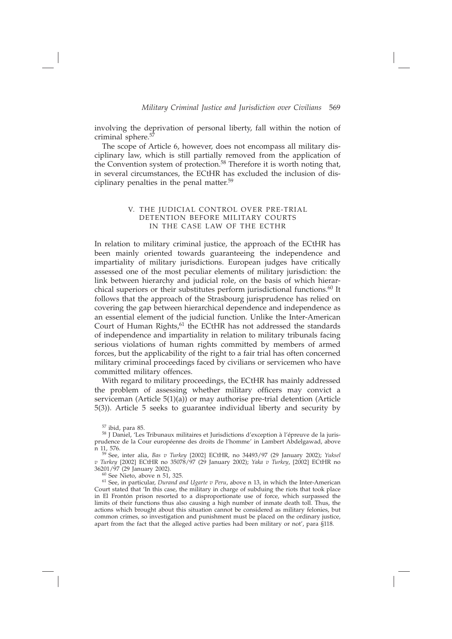involving the deprivation of personal liberty, fall within the notion of criminal sphere.<sup>57</sup>

The scope of Article 6, however, does not encompass all military disciplinary law, which is still partially removed from the application of the Convention system of protection.58 Therefore it is worth noting that, in several circumstances, the ECtHR has excluded the inclusion of disciplinary penalties in the penal matter.<sup>59</sup>

# V. THE JUDICIAL CONTROL OVER PRE-TRIAL DETENTION BEFORE MILITARY COURTS IN THE CASE LAW OF THE ECTHR

In relation to military criminal justice, the approach of the ECtHR has been mainly oriented towards guaranteeing the independence and impartiality of military jurisdictions. European judges have critically assessed one of the most peculiar elements of military jurisdiction: the link between hierarchy and judicial role, on the basis of which hierarchical superiors or their substitutes perform jurisdictional functions.<sup>60</sup> It follows that the approach of the Strasbourg jurisprudence has relied on covering the gap between hierarchical dependence and independence as an essential element of the judicial function. Unlike the Inter-American Court of Human Rights,<sup>61</sup> the ECtHR has not addressed the standards of independence and impartiality in relation to military tribunals facing serious violations of human rights committed by members of armed forces, but the applicability of the right to a fair trial has often concerned military criminal proceedings faced by civilians or servicemen who have committed military offences.

With regard to military proceedings, the ECtHR has mainly addressed the problem of assessing whether military officers may convict a serviceman (Article 5(1)(a)) or may authorise pre-trial detention (Article 5(3)). Article 5 seeks to guarantee individual liberty and security by

 $57$  ibid, para 85.

 $60$  See Nieto, above n 51, 325.

<sup>58</sup> J Daniel, 'Les Tribunaux militaires et Jurisdictions d'exception à l'épreuve de la jurisprudence de la Cour européenne des droits de l'homme' in Lambert Abdelgawad, above n 11, 576.

<sup>59</sup> See, inter alia, *Bas v Turkey* [2002] ECtHR, no 34493/97 (29 January 2002); *Yuksel v Turkey* [2002] ECtHR no 35078/97 (29 January 2002); *Yaka v Turkey*, [2002] ECtHR no

<sup>61</sup> See, in particular, *Durand and Ugarte v Peru*, above n 13, in which the Inter-American Court stated that 'In this case, the military in charge of subduing the riots that took place in El Frontón prison resorted to a disproportionate use of force, which surpassed the limits of their functions thus also causing a high number of inmate death toll. Thus, the actions which brought about this situation cannot be considered as military felonies, but common crimes, so investigation and punishment must be placed on the ordinary justice, apart from the fact that the alleged active parties had been military or not', para §118.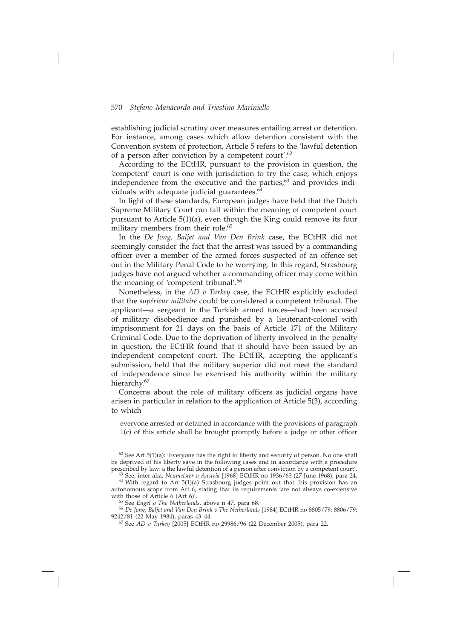establishing judicial scrutiny over measures entailing arrest or detention. For instance, among cases which allow detention consistent with the Convention system of protection, Article 5 refers to the 'lawful detention of a person after conviction by a competent court'.62

According to the ECtHR, pursuant to the provision in question, the 'competent' court is one with jurisdiction to try the case, which enjoys independence from the executive and the parties, $63$  and provides individuals with adequate judicial guarantees.<sup>64</sup>

In light of these standards, European judges have held that the Dutch Supreme Military Court can fall within the meaning of competent court pursuant to Article 5(1)(a), even though the King could remove its four military members from their role.<sup>65</sup>

In the *De Jong, Baljet and Van Den Brink* case, the ECtHR did not seemingly consider the fact that the arrest was issued by a commanding officer over a member of the armed forces suspected of an offence set out in the Military Penal Code to be worrying. In this regard, Strasbourg judges have not argued whether a commanding officer may come within the meaning of 'competent tribunal'.<sup>66</sup>

Nonetheless, in the *AD v Turkey* case, the ECtHR explicitly excluded that the *supérieur militaire* could be considered a competent tribunal. The applicant—a sergeant in the Turkish armed forces—had been accused of military disobedience and punished by a lieutenant-colonel with imprisonment for 21 days on the basis of Article 171 of the Military Criminal Code. Due to the deprivation of liberty involved in the penalty in question, the ECtHR found that it should have been issued by an independent competent court. The ECtHR, accepting the applicant's submission, held that the military superior did not meet the standard of independence since he exercised his authority within the military hierarchy.<sup>67</sup>

Concerns about the role of military officers as judicial organs have arisen in particular in relation to the application of Article 5(3), according to which

everyone arrested or detained in accordance with the provisions of paragraph  $1(c)$  of this article shall be brought promptly before a judge or other officer

 $62$  See Art 5(1)(a): 'Everyone has the right to liberty and security of person. No one shall be deprived of his liberty save in the following cases and in accordance with a procedure prescribed by law: a the lawful detention of a person after conviction by a competent court'.

63 See, inter alia, *Neumeister v Austria* [1968] ECtHR no 1936/63 (27 June 1968), para 24.

 $64$  With regard to Art 5(1)(a) Strasbourg judges point out that this provision has an autonomous scope from Art  $6$ , stating that its requirements 'are not always co-extensive with those of Article  $6$  (Art  $6$ )'.

with those of Article 6 (Art 6)'. 65 See *Engel v The Netherlands,* above n 47, para 68. 66 *De Jong, Baljet and Van Den Brink v The Netherlands* [1984] ECtHR no 8805/79; 8806/79; 9242/81 (22 May 1984), paras 43–44.

67 See *AD v Turkey* [2005] ECtHR no 29986/96 (22 December 2005), para 22.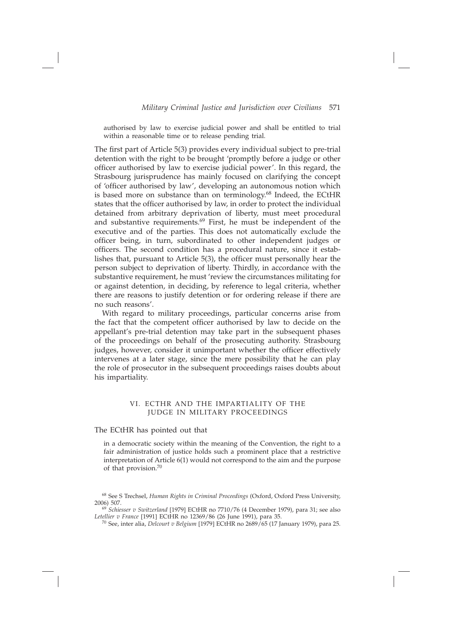authorised by law to exercise judicial power and shall be entitled to trial within a reasonable time or to release pending trial.

The first part of Article 5(3) provides every individual subject to pre-trial detention with the right to be brought 'promptly before a judge or other officer authorised by law to exercise judicial power'. In this regard, the Strasbourg jurisprudence has mainly focused on clarifying the concept of 'officer authorised by law', developing an autonomous notion which is based more on substance than on terminology.<sup>68</sup> Indeed, the ECtHR states that the officer authorised by law, in order to protect the individual detained from arbitrary deprivation of liberty, must meet procedural and substantive requirements.69 First, he must be independent of the executive and of the parties. This does not automatically exclude the officer being, in turn, subordinated to other independent judges or officers. The second condition has a procedural nature, since it establishes that, pursuant to Article 5(3), the officer must personally hear the person subject to deprivation of liberty. Thirdly, in accordance with the substantive requirement, he must 'review the circumstances militating for or against detention, in deciding, by reference to legal criteria, whether there are reasons to justify detention or for ordering release if there are no such reasons'.

With regard to military proceedings, particular concerns arise from the fact that the competent officer authorised by law to decide on the appellant's pre-trial detention may take part in the subsequent phases of the proceedings on behalf of the prosecuting authority. Strasbourg judges, however, consider it unimportant whether the officer effectively intervenes at a later stage, since the mere possibility that he can play the role of prosecutor in the subsequent proceedings raises doubts about his impartiality.

#### VI. ECTHR AND THE IMPARTIALITY OF THE JUDGE IN MILITARY PROCEEDINGS

#### The ECtHR has pointed out that

in a democratic society within the meaning of the Convention, the right to a fair administration of justice holds such a prominent place that a restrictive interpretation of Article 6(1) would not correspond to the aim and the purpose of that provision.70

68 See S Trechsel, *Human Rights in Criminal Proceedings* (Oxford, Oxford Press University,

<sup>69</sup> Schiesser v Switzerland [1979] ECtHR no 7710/76 (4 December 1979), para 31; see also *Letellier v France* [1991] ECtHR no 12369/86 (26 June 1991), para 35.

70 See, inter alia, *Delcourt v Belgium* [1979] ECtHR no 2689/65 (17 January 1979), para 25.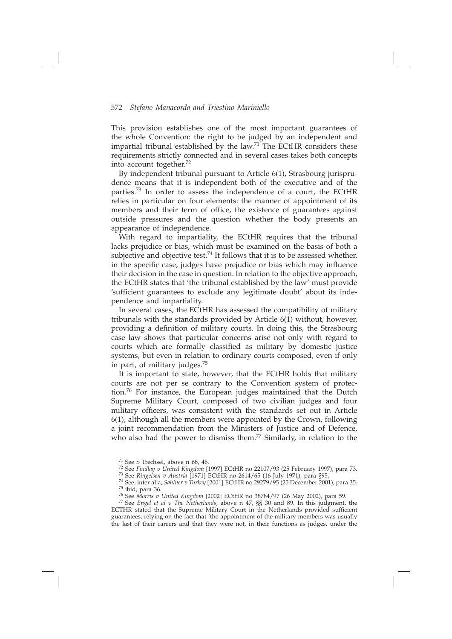This provision establishes one of the most important guarantees of the whole Convention: the right to be judged by an independent and impartial tribunal established by the law.<sup>71</sup> The ECtHR considers these requirements strictly connected and in several cases takes both concepts into account together.72

By independent tribunal pursuant to Article 6(1), Strasbourg jurisprudence means that it is independent both of the executive and of the parties.73 In order to assess the independence of a court, the ECtHR relies in particular on four elements: the manner of appointment of its members and their term of office, the existence of guarantees against outside pressures and the question whether the body presents an appearance of independence.

With regard to impartiality, the ECtHR requires that the tribunal lacks prejudice or bias, which must be examined on the basis of both a subjective and objective test.<sup>74</sup> It follows that it is to be assessed whether, in the specific case, judges have prejudice or bias which may influence their decision in the case in question. In relation to the objective approach, the ECtHR states that 'the tribunal established by the law' must provide 'sufficient guarantees to exclude any legitimate doubt' about its independence and impartiality.

In several cases, the ECtHR has assessed the compatibility of military tribunals with the standards provided by Article 6(1) without, however, providing a definition of military courts. In doing this, the Strasbourg case law shows that particular concerns arise not only with regard to courts which are formally classified as military by domestic justice systems, but even in relation to ordinary courts composed, even if only in part, of military judges.75

It is important to state, however, that the ECtHR holds that military courts are not per se contrary to the Convention system of protection.76 For instance, the European judges maintained that the Dutch Supreme Military Court, composed of two civilian judges and four military officers, was consistent with the standards set out in Article 6(1), although all the members were appointed by the Crown, following a joint recommendation from the Ministers of Justice and of Defence, who also had the power to dismiss them.<sup>77</sup> Similarly, in relation to the

<sup>71</sup> See S Trechsel, above n 68, 46.<br><sup>72</sup> See *Findlay v United Kingdom* [1997] ECtHR no 22107/93 (25 February 1997), para 73.<br><sup>73</sup> See *Ringeisen v Austria* [1971] ECtHR no 2614/65 (16 July 1971), para §95.

<sup>&</sup>lt;sup>74</sup> See, inter alia, *Sahiner v Turkey* [2001] ECtHR no 29279/95 (25 December 2001), para 35.  $^{75}$  ibid, para 36.<br> $^{76}$  See Morris v United Kingdom [2002] ECtHR no 38784/97 (26 May 2002), para 59.

<sup>&</sup>lt;sup>77</sup> See *Engel et al v The Netherlands*, above n 47, §§ 30 and 89. In this judgment, the ECTHR stated that the Supreme Military Court in the Netherlands provided sufficient guarantees, relying on the fact that 'the appointment of the military members was usually the last of their careers and that they were not, in their functions as judges, under the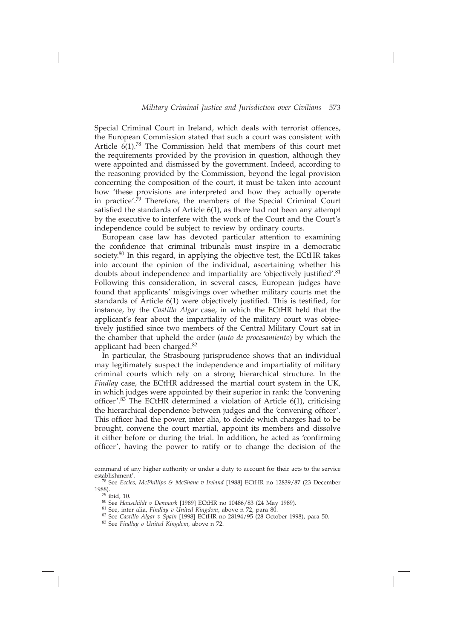Special Criminal Court in Ireland, which deals with terrorist offences, the European Commission stated that such a court was consistent with Article  $6(1)$ .<sup>78</sup> The Commission held that members of this court met the requirements provided by the provision in question, although they were appointed and dismissed by the government. Indeed, according to the reasoning provided by the Commission, beyond the legal provision concerning the composition of the court, it must be taken into account how 'these provisions are interpreted and how they actually operate in practice'.<sup>79</sup> Therefore, the members of the Special Criminal Court satisfied the standards of Article  $6(1)$ , as there had not been any attempt by the executive to interfere with the work of the Court and the Court's independence could be subject to review by ordinary courts.

European case law has devoted particular attention to examining the confidence that criminal tribunals must inspire in a democratic society.<sup>80</sup> In this regard, in applying the objective test, the ECtHR takes into account the opinion of the individual, ascertaining whether his doubts about independence and impartiality are 'objectively justified'. $81$ Following this consideration, in several cases, European judges have found that applicants' misgivings over whether military courts met the standards of Article 6(1) were objectively justified. This is testified, for instance, by the *Castillo Algar* case, in which the ECtHR held that the applicant's fear about the impartiality of the military court was objectively justified since two members of the Central Military Court sat in the chamber that upheld the order (*auto de procesamiento*) by which the applicant had been charged.82

In particular, the Strasbourg jurisprudence shows that an individual may legitimately suspect the independence and impartiality of military criminal courts which rely on a strong hierarchical structure. In the *Findlay* case, the ECtHR addressed the martial court system in the UK, in which judges were appointed by their superior in rank: the 'convening officer'.<sup>83</sup> The ECtHR determined a violation of Article  $6(1)$ , criticising the hierarchical dependence between judges and the 'convening officer'. This officer had the power, inter alia, to decide which charges had to be brought, convene the court martial, appoint its members and dissolve it either before or during the trial. In addition, he acted as 'confirming officer', having the power to ratify or to change the decision of the

- 81 See, inter alia, *Findlay v United Kingdom*, above n 72, para 80.
- 82 See *Castillo Algar v Spain* [1998] ECtHR no 28194/95 (28 October 1998), para 50.
- 83 See *Findlay v United Kingdom,* above n 72.

command of any higher authority or under a duty to account for their acts to the service establishment'.

<sup>78</sup> See *Eccles, McPhillips & McShane v Ireland* [1988] ECtHR no 12839/87 (23 December 1988).

<sup>79</sup> ibid*,* 10.

<sup>80</sup> See *Hauschildt v Denmark* [1989] ECtHR no 10486/83 (24 May 1989).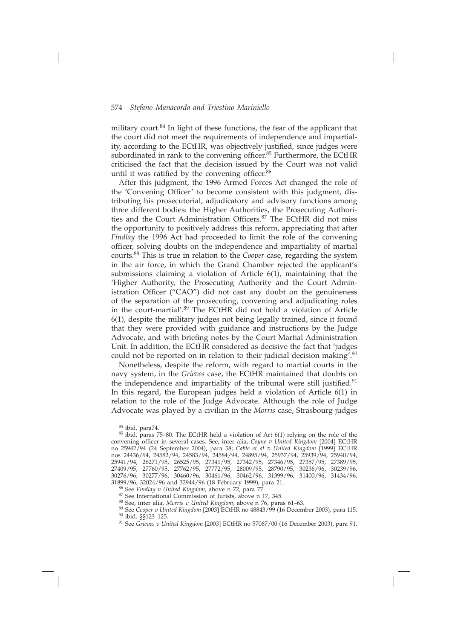military court.84 In light of these functions, the fear of the applicant that the court did not meet the requirements of independence and impartiality, according to the ECtHR, was objectively justified, since judges were subordinated in rank to the convening officer. $85$  Furthermore, the ECtHR criticised the fact that the decision issued by the Court was not valid until it was ratified by the convening officer. $86$ 

After this judgment, the 1996 Armed Forces Act changed the role of the 'Convening Officer' to become consistent with this judgment, distributing his prosecutorial, adjudicatory and advisory functions among three different bodies: the Higher Authorities, the Prosecuting Authorities and the Court Administration Officers.<sup>87</sup> The ECtHR did not miss the opportunity to positively address this reform, appreciating that after *Findlay* the 1996 Act had proceeded to limit the role of the convening officer, solving doubts on the independence and impartiality of martial courts.88 This is true in relation to the *Cooper* case, regarding the system in the air force, in which the Grand Chamber rejected the applicant's submissions claiming a violation of Article 6(1), maintaining that the 'Higher Authority, the Prosecuting Authority and the Court Administration Officer ("CAO") did not cast any doubt on the genuineness of the separation of the prosecuting, convening and adjudicating roles in the court-martial'.89 The ECtHR did not hold a violation of Article 6(1), despite the military judges not being legally trained, since it found that they were provided with guidance and instructions by the Judge Advocate, and with briefing notes by the Court Martial Administration Unit. In addition, the ECtHR considered as decisive the fact that 'judges could not be reported on in relation to their judicial decision making'.<sup>90</sup>

Nonetheless, despite the reform, with regard to martial courts in the navy system, in the *Grieves* case, the ECtHR maintained that doubts on the independence and impartiality of the tribunal were still justified.<sup>91</sup> In this regard, the European judges held a violation of Article 6(1) in relation to the role of the Judge Advocate. Although the role of Judge Advocate was played by a civilian in the *Morris* case, Strasbourg judges

 $84$  ibid, para74.<br> $85$  ibid, paras 75–80. The ECtHR held a violation of Art 6(1) relying on the role of the convening officer in several cases. See, inter alia, *Coyne v United Kingdom* [2004] ECtHR no 25942/94 (24 September 2004), para 58; *Cable et al v United Kingdom* [1999] ECtHR nos 24436/94, 24582/94, 24583/94, 24584/94, 24895/94, 25937/94, 25939/94, 25940/94, 25941/94, 26271/95, 26525/95, 27341/95, 27342/95, 27346/95, 27357/95, 27389/95, 27409/95, 27760/95, 27762/95, 27772/95, 28009/95, 28790/95, 30236/96, 30239/96, 30276/96, 30277/96, 30460/96, 30461/96, 30462/96, 31399/96, 31400/96, 31434/96, 31899/96, 32024/96 and 32944/96 (18 February 1999), para 21.<br><sup>86</sup> See Findlay v United Kingdom, above n 72, para 77.

<sup>87</sup> See International Commission of Jurists, above n 17, 345.<br><sup>88</sup> See, inter alia, *Morris v United Kingdom*, above n 76, paras 61–63.<br><sup>89</sup> See *Cooper v United Kingdom* [2003] ECtHR no 48843/99 (16 December 2003), para 11

<sup>&</sup>lt;sup>90</sup> ibid. §§123–125.<br><sup>91</sup> See *Grieves v United Kingdom* [2003] ECtHR no 57067/00 (16 December 2003), para 91.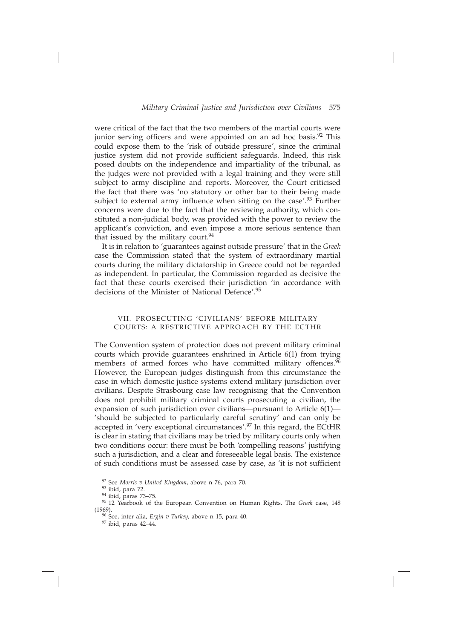were critical of the fact that the two members of the martial courts were junior serving officers and were appointed on an ad hoc basis.<sup>92</sup> This could expose them to the 'risk of outside pressure', since the criminal justice system did not provide sufficient safeguards. Indeed, this risk posed doubts on the independence and impartiality of the tribunal, as the judges were not provided with a legal training and they were still subject to army discipline and reports. Moreover, the Court criticised the fact that there was 'no statutory or other bar to their being made subject to external army influence when sitting on the case'. $93$  Further concerns were due to the fact that the reviewing authority, which constituted a non-judicial body, was provided with the power to review the applicant's conviction, and even impose a more serious sentence than that issued by the military court. $94$ 

It is in relation to 'guarantees against outside pressure' that in the *Greek*  case the Commission stated that the system of extraordinary martial courts during the military dictatorship in Greece could not be regarded as independent. In particular, the Commission regarded as decisive the fact that these courts exercised their jurisdiction 'in accordance with decisions of the Minister of National Defence'.95

# VII. PROSECUTING 'CIVILIANS' BEFORE MILITARY COURTS: A RESTRICTIVE APPROACH BY THE ECTHR

The Convention system of protection does not prevent military criminal courts which provide guarantees enshrined in Article 6(1) from trying members of armed forces who have committed military offences.<sup>96</sup> However, the European judges distinguish from this circumstance the case in which domestic justice systems extend military jurisdiction over civilians. Despite Strasbourg case law recognising that the Convention does not prohibit military criminal courts prosecuting a civilian, the expansion of such jurisdiction over civilians—pursuant to Article 6(1)— 'should be subjected to particularly careful scrutiny' and can only be accepted in 'very exceptional circumstances'.97 In this regard, the ECtHR is clear in stating that civilians may be tried by military courts only when two conditions occur: there must be both 'compelling reasons' justifying such a jurisdiction, and a clear and foreseeable legal basis. The existence of such conditions must be assessed case by case, as 'it is not sufficient

<sup>97</sup> ibid, paras 42–44.

<sup>92</sup> See *Morris v United Kingdom*, above n 76, para 70.

 $\frac{93}{94}$  ibid, para 72.<br> $\frac{94}{94}$  ibid, paras 73–75.

<sup>&</sup>lt;sup>95</sup> 12 Yearbook of the European Convention on Human Rights. The *Greek* case, 148 (1969).

<sup>96</sup> See, inter alia, *Ergin v Turkey,* above n 15, para 40.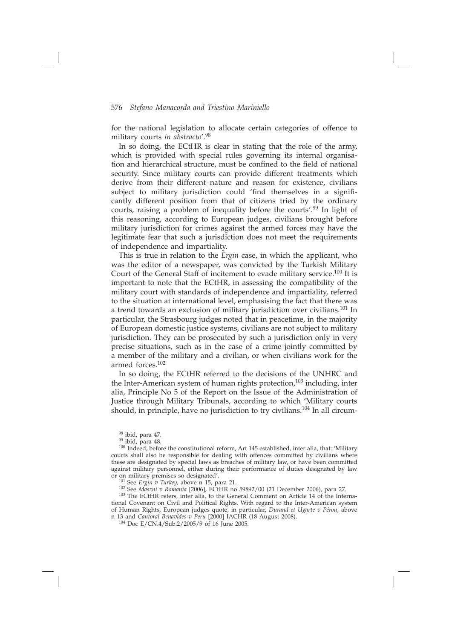for the national legislation to allocate certain categories of offence to military courts *in abstracto*'.98

In so doing, the ECtHR is clear in stating that the role of the army, which is provided with special rules governing its internal organisation and hierarchical structure, must be confined to the field of national security. Since military courts can provide different treatments which derive from their different nature and reason for existence, civilians subject to military jurisdiction could 'find themselves in a significantly different position from that of citizens tried by the ordinary courts, raising a problem of inequality before the courts'.<sup>99</sup> In light of this reasoning, according to European judges, civilians brought before military jurisdiction for crimes against the armed forces may have the legitimate fear that such a jurisdiction does not meet the requirements of independence and impartiality.

This is true in relation to the *Ergin* case, in which the applicant, who was the editor of a newspaper, was convicted by the Turkish Military Court of the General Staff of incitement to evade military service.100 It is important to note that the ECtHR, in assessing the compatibility of the military court with standards of independence and impartiality, referred to the situation at international level, emphasising the fact that there was a trend towards an exclusion of military jurisdiction over civilians.101 In particular, the Strasbourg judges noted that in peacetime, in the majority of European domestic justice systems, civilians are not subject to military jurisdiction. They can be prosecuted by such a jurisdiction only in very precise situations, such as in the case of a crime jointly committed by a member of the military and a civilian, or when civilians work for the armed forces.102

In so doing, the ECtHR referred to the decisions of the UNHRC and the Inter-American system of human rights protection,<sup>103</sup> including, inter alia, Principle No 5 of the Report on the Issue of the Administration of Justice through Military Tribunals, according to which 'Military courts should, in principle, have no jurisdiction to try civilians.<sup>104</sup> In all circum-

98 ibid, para 47.

 $99$  ibid, para 48.

<sup>100</sup> Indeed, before the constitutional reform, Art 145 established, inter alia, that: 'Military courts shall also be responsible for dealing with offences committed by civilians where these are designated by special laws as breaches of military law, or have been committed against military personnel, either during their performance of duties designated by law or on military premises so designated'.  $\frac{101 \text{ See } Ergin \text{ }U}$  Turkey, above n 15, para 21.

<sup>102</sup> See *Maszni v Romania* [2006], ECtHR no 59892/00 (21 December 2006), para 27.<br><sup>103</sup> The ECtHR refers, inter alia, to the General Comment on Article 14 of the International Covenant on Civil and Political Rights. With regard to the Inter-American system of Human Rights, European judges quote, in particular, *Durand et Ugarte v Pérou*, above n 13 and *Cantoral Benavides v Peru* [2000] IACHR (18 August 2008). 104 Doc E/CN.4/Sub.2/2005/9 of 16 June 2005.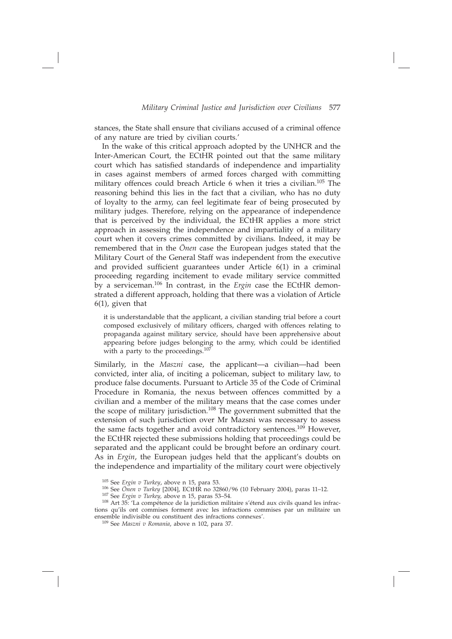stances, the State shall ensure that civilians accused of a criminal offence of any nature are tried by civilian courts.'

In the wake of this critical approach adopted by the UNHCR and the Inter-American Court, the ECtHR pointed out that the same military court which has satisfied standards of independence and impartiality in cases against members of armed forces charged with committing military offences could breach Article 6 when it tries a civilian.105 The reasoning behind this lies in the fact that a civilian, who has no duty of loyalty to the army, can feel legitimate fear of being prosecuted by military judges. Therefore, relying on the appearance of independence that is perceived by the individual, the ECtHR applies a more strict approach in assessing the independence and impartiality of a military court when it covers crimes committed by civilians. Indeed, it may be remembered that in the *Önen* case the European judges stated that the Military Court of the General Staff was independent from the executive and provided sufficient guarantees under Article 6(1) in a criminal proceeding regarding incitement to evade military service committed by a serviceman.106 In contrast, in the *Ergin* case the ECtHR demonstrated a different approach, holding that there was a violation of Article 6(1), given that

it is understandable that the applicant, a civilian standing trial before a court composed exclusively of military officers, charged with offences relating to propaganda against military service, should have been apprehensive about appearing before judges belonging to the army, which could be identified with a party to the proceedings.<sup>107</sup>

Similarly, in the *Maszni* case, the applicant—a civilian—had been convicted, inter alia, of inciting a policeman, subject to military law, to produce false documents. Pursuant to Article 35 of the Code of Criminal Procedure in Romania, the nexus between offences committed by a civilian and a member of the military means that the case comes under the scope of military jurisdiction.108 The government submitted that the extension of such jurisdiction over Mr Mazsni was necessary to assess the same facts together and avoid contradictory sentences.109 However, the ECtHR rejected these submissions holding that proceedings could be separated and the applicant could be brought before an ordinary court. As in *Ergin*, the European judges held that the applicant's doubts on the independence and impartiality of the military court were objectively

<sup>105</sup> See *Ergin v Turkey*, above n 15, para 53. 106 See *Önen v Turkey* [2004], ECtHR no 32860/96 (10 February 2004), paras 11–12. 107 See *Ergin v Turkey,* above n 15, paras 53–54.

<sup>108</sup> Art 35: 'La compétence de la juridiction militaire s'étend aux civils quand les infractions qu'ils ont commises forment avec les infractions commises par un militaire un ensemble indivisible ou constituent des infractions connexes'.

<sup>109</sup> See *Maszni v Romania*, above n 102, para 37.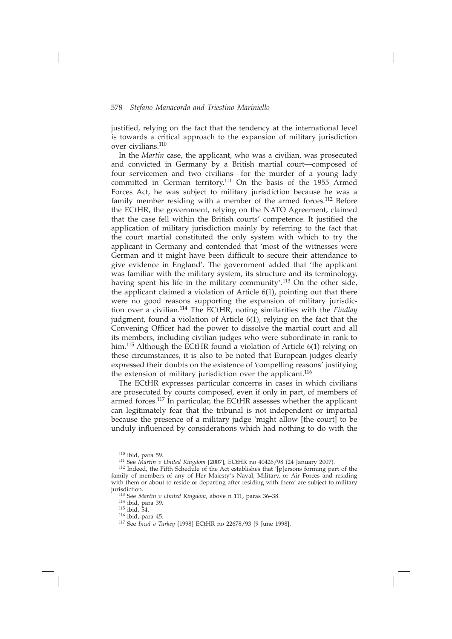justified, relying on the fact that the tendency at the international level is towards a critical approach to the expansion of military jurisdiction over civilians.110

In the *Martin* case, the applicant, who was a civilian, was prosecuted and convicted in Germany by a British martial court—composed of four servicemen and two civilians—for the murder of a young lady committed in German territory.111 On the basis of the 1955 Armed Forces Act, he was subject to military jurisdiction because he was a family member residing with a member of the armed forces.<sup>112</sup> Before the ECtHR, the government, relying on the NATO Agreement, claimed that the case fell within the British courts' competence. It justified the application of military jurisdiction mainly by referring to the fact that the court martial constituted the only system with which to try the applicant in Germany and contended that 'most of the witnesses were German and it might have been difficult to secure their attendance to give evidence in England'. The government added that 'the applicant was familiar with the military system, its structure and its terminology, having spent his life in the military community'.<sup>113</sup> On the other side, the applicant claimed a violation of Article 6(1), pointing out that there were no good reasons supporting the expansion of military jurisdiction over a civilian.114 The ECtHR, noting similarities with the *Findlay* judgment, found a violation of Article 6(1), relying on the fact that the Convening Officer had the power to dissolve the martial court and all its members, including civilian judges who were subordinate in rank to him.<sup>115</sup> Although the ECtHR found a violation of Article 6(1) relying on these circumstances, it is also to be noted that European judges clearly expressed their doubts on the existence of 'compelling reasons' justifying the extension of military jurisdiction over the applicant.<sup>116</sup>

The ECtHR expresses particular concerns in cases in which civilians are prosecuted by courts composed, even if only in part, of members of armed forces.117 In particular, the ECtHR assesses whether the applicant can legitimately fear that the tribunal is not independent or impartial because the presence of a military judge 'might allow [the court] to be unduly influenced by considerations which had nothing to do with the

<sup>&</sup>lt;sup>110</sup> ibid, para 59.<br><sup>111</sup> See *Martin v United Kingdom* [2007], ECtHR no 40426/98 (24 January 2007).<br><sup>112</sup> Indeed, the Fifth Schedule of the Act establishes that '[p]ersons forming part of the family of members of any of Her Majesty's Naval, Military, or Air Forces and residing with them or about to reside or departing after residing with them' are subject to military jurisdiction.

<sup>113</sup> See *Martin v United Kingdom*, above n 111, paras 36–38.

<sup>114</sup> ibid, para 39. 115 ibid, 54. 116 ibid, para 45. 117 See *Incal v Turkey* [1998] ECtHR no 22678/93 [9 June 1998].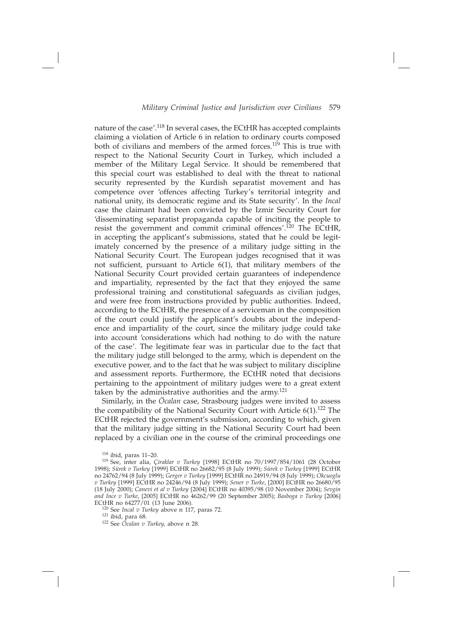nature of the case'.118 In several cases, the ECtHR has accepted complaints claiming a violation of Article 6 in relation to ordinary courts composed both of civilians and members of the armed forces.<sup>119</sup> This is true with respect to the National Security Court in Turkey, which included a member of the Military Legal Service. It should be remembered that this special court was established to deal with the threat to national security represented by the Kurdish separatist movement and has competence over 'offences affecting Turkey's territorial integrity and national unity, its democratic regime and its State security'. In the *Incal*  case the claimant had been convicted by the Izmir Security Court for 'disseminating separatist propaganda capable of inciting the people to resist the government and commit criminal offences'.120 The ECtHR, in accepting the applicant's submissions, stated that he could be legitimately concerned by the presence of a military judge sitting in the National Security Court. The European judges recognised that it was not sufficient, pursuant to Article  $6(1)$ , that military members of the National Security Court provided certain guarantees of independence and impartiality, represented by the fact that they enjoyed the same professional training and constitutional safeguards as civilian judges, and were free from instructions provided by public authorities. Indeed, according to the ECtHR, the presence of a serviceman in the composition of the court could justify the applicant's doubts about the independence and impartiality of the court, since the military judge could take into account 'considerations which had nothing to do with the nature of the case'. The legitimate fear was in particular due to the fact that the military judge still belonged to the army, which is dependent on the executive power, and to the fact that he was subject to military discipline and assessment reports. Furthermore, the ECtHR noted that decisions pertaining to the appointment of military judges were to a great extent taken by the administrative authorities and the army.<sup>121</sup>

Similarly, in the *Öcalan* case, Strasbourg judges were invited to assess the compatibility of the National Security Court with Article  $6(1).$ <sup>122</sup> The ECtHR rejected the government's submission, according to which, given that the military judge sitting in the National Security Court had been replaced by a civilian one in the course of the criminal proceedings one

 $118$  ibid, paras 11–20.

<sup>119</sup> See, inter alia, *Çiraklar v Turkey* [1998] ECtHR no 70/1997/854/1061 (28 October 1998); *Sürek v Turkey* [1999] ECtHR no 26682/95 (8 July 1999); *Sürek v Turkey* [1999] ECtHR no 24762/94 (8 July 1999); *Gerger v Turkey* [1999] ECtHR no 24919/94 (8 July 1999); *Okcuoglu v Turkey* [1999] ECtHR no 24246/94 (8 July 1999); *Sener v Turke*, [2000] ECtHR no 26680/95 (18 July 2000); *Canevi et al v Turkey* [2004] ECtHR no 40395/98 (10 November 2004); *Sevgin and Ince v Turke*, [2005] ECtHR no 46262/99 (20 September 2005); *Basboga v Turkey* [2006] ECtHR no 64277/01 (13 June 2006).

<sup>120</sup> See *Incal v Turkey* above n 117, paras 72.

<sup>&</sup>lt;sup>122</sup> See *Öcalan v Turkey*, above n 28.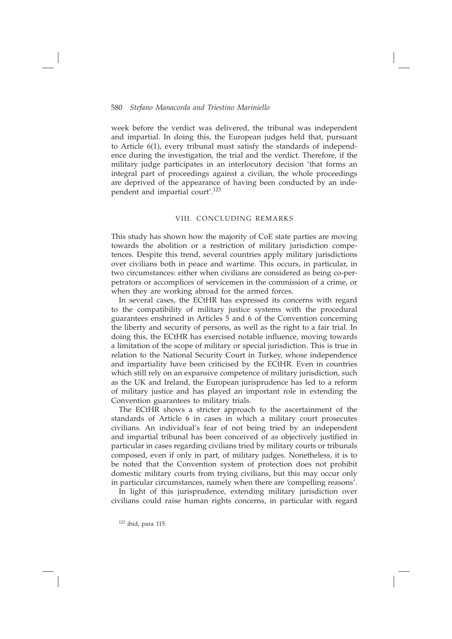week before the verdict was delivered, the tribunal was independent and impartial. In doing this, the European judges held that, pursuant to Article 6(1), every tribunal must satisfy the standards of independence during the investigation, the trial and the verdict. Therefore, if the military judge participates in an interlocutory decision 'that forms an integral part of proceedings against a civilian, the whole proceedings are deprived of the appearance of having been conducted by an independent and impartial court'.123

#### VIII. CONCLUDING REMARKS

This study has shown how the majority of CoE state parties are moving towards the abolition or a restriction of military jurisdiction competences. Despite this trend, several countries apply military jurisdictions over civilians both in peace and wartime. This occurs, in particular, in two circumstances: either when civilians are considered as being co-perpetrators or accomplices of servicemen in the commission of a crime, or when they are working abroad for the armed forces.

In several cases, the ECtHR has expressed its concerns with regard to the compatibility of military justice systems with the procedural guarantees enshrined in Articles 5 and 6 of the Convention concerning the liberty and security of persons, as well as the right to a fair trial. In doing this, the ECtHR has exercised notable influence, moving towards a limitation of the scope of military or special jurisdiction. This is true in relation to the National Security Court in Turkey, whose independence and impartiality have been criticised by the ECtHR. Even in countries which still rely on an expansive competence of military jurisdiction, such as the UK and Ireland, the European jurisprudence has led to a reform of military justice and has played an important role in extending the Convention guarantees to military trials.

The ECtHR shows a stricter approach to the ascertainment of the standards of Article 6 in cases in which a military court prosecutes civilians. An individual's fear of not being tried by an independent and impartial tribunal has been conceived of as objectively justified in particular in cases regarding civilians tried by military courts or tribunals composed, even if only in part, of military judges. Nonetheless, it is to be noted that the Convention system of protection does not prohibit domestic military courts from trying civilians, but this may occur only in particular circumstances, namely when there are 'compelling reasons'.

In light of this jurisprudence, extending military jurisdiction over civilians could raise human rights concerns, in particular with regard

 $123$  ibid, para 115.